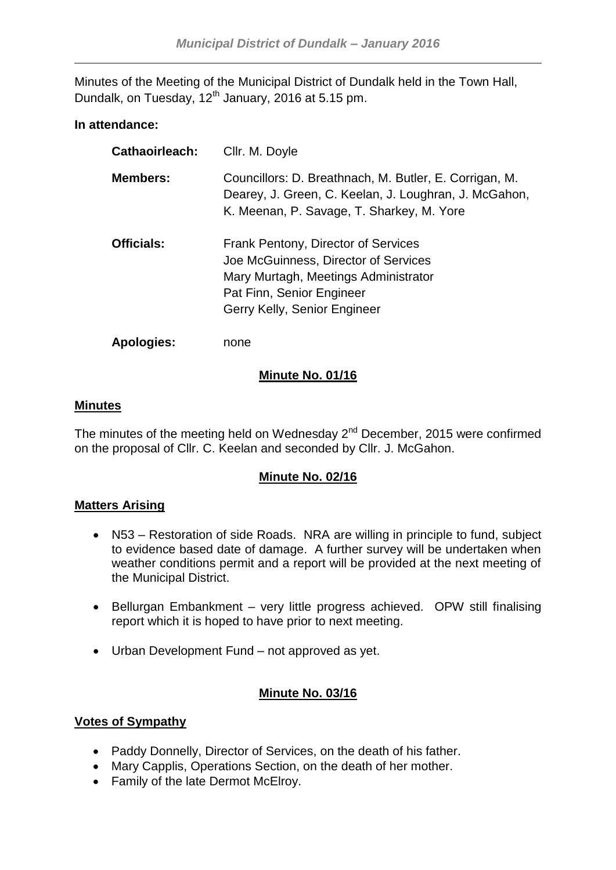Minutes of the Meeting of the Municipal District of Dundalk held in the Town Hall, Dundalk, on Tuesday,  $12<sup>th</sup>$  January, 2016 at 5.15 pm.

# **In attendance:**

| <b>Cathaoirleach:</b> | Cllr. M. Doyle                                                                                                                                                                   |
|-----------------------|----------------------------------------------------------------------------------------------------------------------------------------------------------------------------------|
| <b>Members:</b>       | Councillors: D. Breathnach, M. Butler, E. Corrigan, M.<br>Dearey, J. Green, C. Keelan, J. Loughran, J. McGahon,<br>K. Meenan, P. Savage, T. Sharkey, M. Yore                     |
| <b>Officials:</b>     | Frank Pentony, Director of Services<br>Joe McGuinness, Director of Services<br>Mary Murtagh, Meetings Administrator<br>Pat Finn, Senior Engineer<br>Gerry Kelly, Senior Engineer |
| <b>Apologies:</b>     | none                                                                                                                                                                             |

# **Minute No. 01/16**

## **Minutes**

The minutes of the meeting held on Wednesday  $2^{nd}$  December, 2015 were confirmed on the proposal of Cllr. C. Keelan and seconded by Cllr. J. McGahon.

# **Minute No. 02/16**

## **Matters Arising**

- N53 Restoration of side Roads. NRA are willing in principle to fund, subject to evidence based date of damage. A further survey will be undertaken when weather conditions permit and a report will be provided at the next meeting of the Municipal District.
- Bellurgan Embankment very little progress achieved. OPW still finalising report which it is hoped to have prior to next meeting.
- Urban Development Fund not approved as yet.

# **Minute No. 03/16**

## **Votes of Sympathy**

- Paddy Donnelly, Director of Services, on the death of his father.
- Mary Capplis, Operations Section, on the death of her mother.
- Family of the late Dermot McElroy.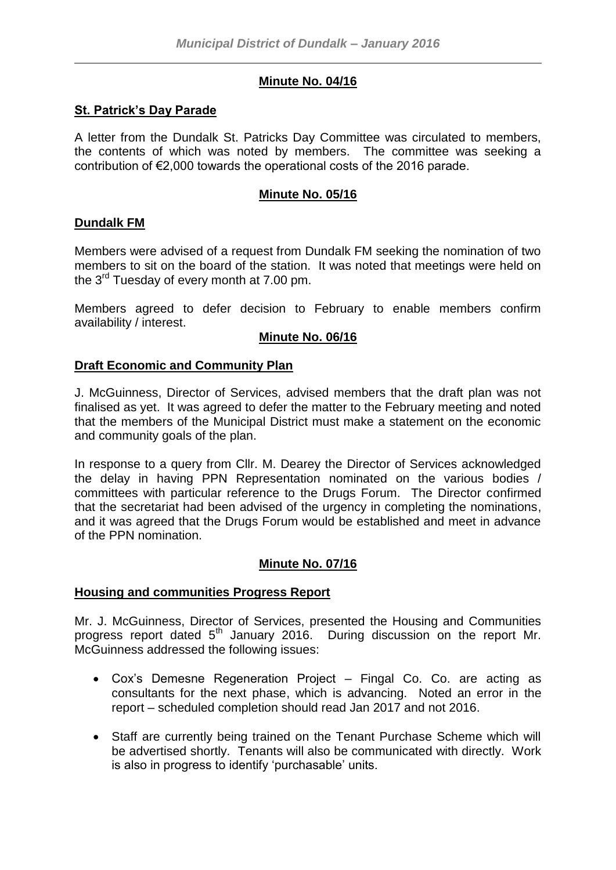# **Minute No. 04/16**

### **St. Patrick's Day Parade**

A letter from the Dundalk St. Patricks Day Committee was circulated to members, the contents of which was noted by members. The committee was seeking a contribution of €2,000 towards the operational costs of the 2016 parade.

### **Minute No. 05/16**

### **Dundalk FM**

Members were advised of a request from Dundalk FM seeking the nomination of two members to sit on the board of the station. It was noted that meetings were held on the  $3^{rd}$  Tuesday of every month at 7.00 pm.

Members agreed to defer decision to February to enable members confirm availability / interest.

### **Minute No. 06/16**

### **Draft Economic and Community Plan**

J. McGuinness, Director of Services, advised members that the draft plan was not finalised as yet. It was agreed to defer the matter to the February meeting and noted that the members of the Municipal District must make a statement on the economic and community goals of the plan.

In response to a query from Cllr. M. Dearey the Director of Services acknowledged the delay in having PPN Representation nominated on the various bodies / committees with particular reference to the Drugs Forum. The Director confirmed that the secretariat had been advised of the urgency in completing the nominations, and it was agreed that the Drugs Forum would be established and meet in advance of the PPN nomination.

## **Minute No. 07/16**

#### **Housing and communities Progress Report**

Mr. J. McGuinness, Director of Services, presented the Housing and Communities progress report dated  $5<sup>th</sup>$  January 2016. During discussion on the report Mr. McGuinness addressed the following issues:

- Cox's Demesne Regeneration Project Fingal Co. Co. are acting as consultants for the next phase, which is advancing. Noted an error in the report – scheduled completion should read Jan 2017 and not 2016.
- Staff are currently being trained on the Tenant Purchase Scheme which will be advertised shortly. Tenants will also be communicated with directly. Work is also in progress to identify 'purchasable' units.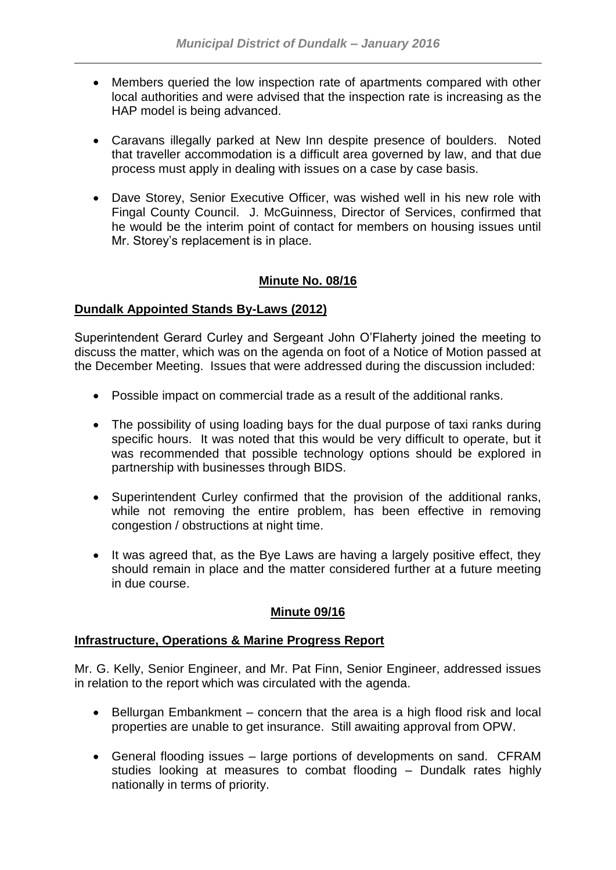- Members queried the low inspection rate of apartments compared with other local authorities and were advised that the inspection rate is increasing as the HAP model is being advanced.
- Caravans illegally parked at New Inn despite presence of boulders. Noted that traveller accommodation is a difficult area governed by law, and that due process must apply in dealing with issues on a case by case basis.
- Dave Storey, Senior Executive Officer, was wished well in his new role with Fingal County Council. J. McGuinness, Director of Services, confirmed that he would be the interim point of contact for members on housing issues until Mr. Storey's replacement is in place.

# **Minute No. 08/16**

### **Dundalk Appointed Stands By-Laws (2012)**

Superintendent Gerard Curley and Sergeant John O'Flaherty joined the meeting to discuss the matter, which was on the agenda on foot of a Notice of Motion passed at the December Meeting. Issues that were addressed during the discussion included:

- Possible impact on commercial trade as a result of the additional ranks.
- The possibility of using loading bays for the dual purpose of taxi ranks during specific hours. It was noted that this would be very difficult to operate, but it was recommended that possible technology options should be explored in partnership with businesses through BIDS.
- Superintendent Curley confirmed that the provision of the additional ranks, while not removing the entire problem, has been effective in removing congestion / obstructions at night time.
- It was agreed that, as the Bye Laws are having a largely positive effect, they should remain in place and the matter considered further at a future meeting in due course.

# **Minute 09/16**

## **Infrastructure, Operations & Marine Progress Report**

Mr. G. Kelly, Senior Engineer, and Mr. Pat Finn, Senior Engineer, addressed issues in relation to the report which was circulated with the agenda.

- Bellurgan Embankment concern that the area is a high flood risk and local properties are unable to get insurance. Still awaiting approval from OPW.
- General flooding issues large portions of developments on sand. CFRAM studies looking at measures to combat flooding – Dundalk rates highly nationally in terms of priority.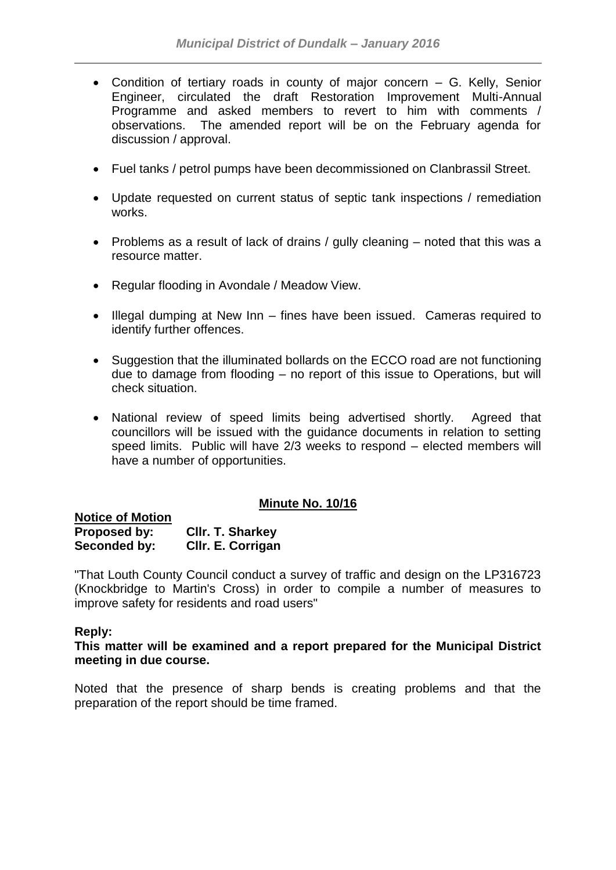- Condition of tertiary roads in county of major concern G. Kelly, Senior Engineer, circulated the draft Restoration Improvement Multi-Annual Programme and asked members to revert to him with comments / observations. The amended report will be on the February agenda for discussion / approval.
- Fuel tanks / petrol pumps have been decommissioned on Clanbrassil Street.
- Update requested on current status of septic tank inspections / remediation works.
- Problems as a result of lack of drains / gully cleaning noted that this was a resource matter.
- Regular flooding in Avondale / Meadow View.
- Illegal dumping at New Inn fines have been issued. Cameras required to identify further offences.
- Suggestion that the illuminated bollards on the ECCO road are not functioning due to damage from flooding – no report of this issue to Operations, but will check situation.
- National review of speed limits being advertised shortly. Agreed that councillors will be issued with the guidance documents in relation to setting speed limits. Public will have 2/3 weeks to respond – elected members will have a number of opportunities.

## **Minute No. 10/16**

| <b>Notice of Motion</b> |                         |
|-------------------------|-------------------------|
| Proposed by:            | <b>CIIr. T. Sharkey</b> |
| Seconded by:            | Cllr. E. Corrigan       |

"That Louth County Council conduct a survey of traffic and design on the LP316723 (Knockbridge to Martin's Cross) in order to compile a number of measures to improve safety for residents and road users"

#### **Reply:**

**This matter will be examined and a report prepared for the Municipal District meeting in due course.**

Noted that the presence of sharp bends is creating problems and that the preparation of the report should be time framed.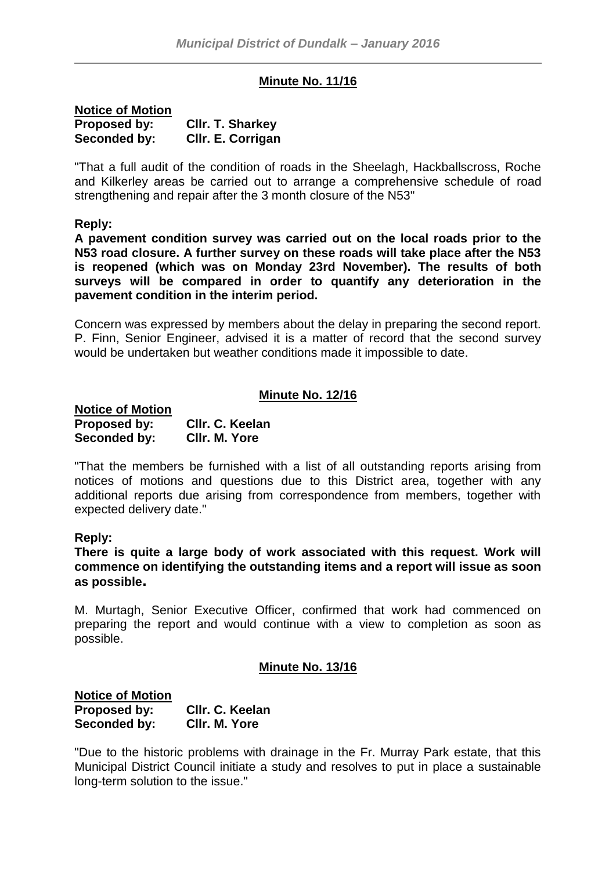# **Minute No. 11/16**

| <b>Notice of Motion</b> |                         |
|-------------------------|-------------------------|
| Proposed by:            | <b>CIIr. T. Sharkey</b> |
| Seconded by:            | CIIr. E. Corrigan       |

"That a full audit of the condition of roads in the Sheelagh, Hackballscross, Roche and Kilkerley areas be carried out to arrange a comprehensive schedule of road strengthening and repair after the 3 month closure of the N53"

#### **Reply:**

**A pavement condition survey was carried out on the local roads prior to the N53 road closure. A further survey on these roads will take place after the N53 is reopened (which was on Monday 23rd November). The results of both surveys will be compared in order to quantify any deterioration in the pavement condition in the interim period.**

Concern was expressed by members about the delay in preparing the second report. P. Finn, Senior Engineer, advised it is a matter of record that the second survey would be undertaken but weather conditions made it impossible to date.

#### **Minute No. 12/16**

| <b>Notice of Motion</b> |                 |
|-------------------------|-----------------|
| Proposed by:            | Cllr. C. Keelan |
| Seconded by:            | CIIr. M. Yore   |

"That the members be furnished with a list of all outstanding reports arising from notices of motions and questions due to this District area, together with any additional reports due arising from correspondence from members, together with expected delivery date."

#### **Reply:**

**There is quite a large body of work associated with this request. Work will commence on identifying the outstanding items and a report will issue as soon as possible.**

M. Murtagh, Senior Executive Officer, confirmed that work had commenced on preparing the report and would continue with a view to completion as soon as possible.

# **Minute No. 13/16**

**Notice of Motion Proposed by: Cllr. C. Keelan Seconded by: Cllr. M. Yore**

"Due to the historic problems with drainage in the Fr. Murray Park estate, that this Municipal District Council initiate a study and resolves to put in place a sustainable long-term solution to the issue."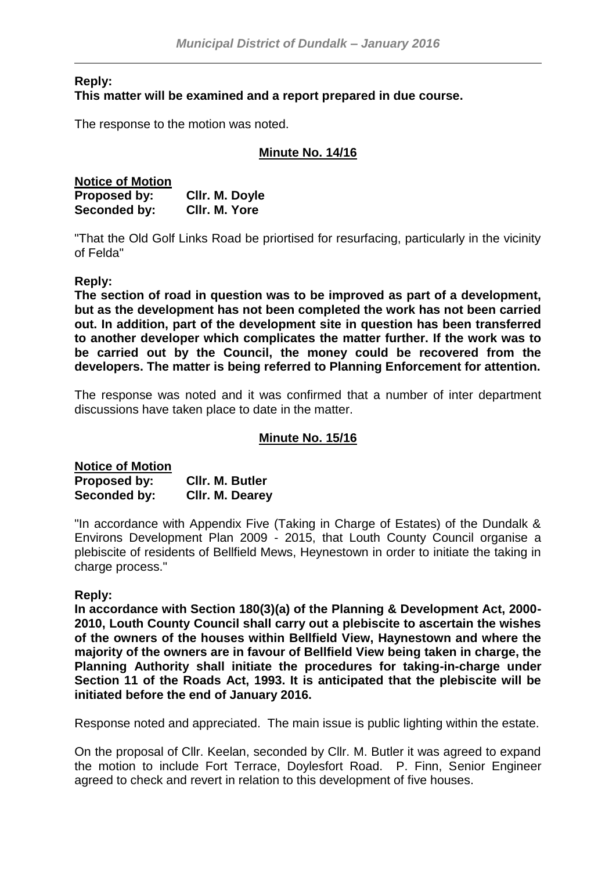### **Reply: This matter will be examined and a report prepared in due course.**

The response to the motion was noted.

# **Minute No. 14/16**

| <b>Notice of Motion</b> |                |
|-------------------------|----------------|
| Proposed by:            | Cllr. M. Doyle |
| Seconded by:            | CIIr. M. Yore  |

"That the Old Golf Links Road be priortised for resurfacing, particularly in the vicinity of Felda"

### **Reply:**

**The section of road in question was to be improved as part of a development, but as the development has not been completed the work has not been carried out. In addition, part of the development site in question has been transferred to another developer which complicates the matter further. If the work was to be carried out by the Council, the money could be recovered from the developers. The matter is being referred to Planning Enforcement for attention.**

The response was noted and it was confirmed that a number of inter department discussions have taken place to date in the matter.

#### **Minute No. 15/16**

| <b>Notice of Motion</b> |                 |
|-------------------------|-----------------|
| Proposed by:            | CIIr. M. Butler |
| Seconded by:            | Cllr. M. Dearey |

"In accordance with Appendix Five (Taking in Charge of Estates) of the Dundalk & Environs Development Plan 2009 - 2015, that Louth County Council organise a plebiscite of residents of Bellfield Mews, Heynestown in order to initiate the taking in charge process."

#### **Reply:**

**In accordance with Section 180(3)(a) of the Planning & Development Act, 2000- 2010, Louth County Council shall carry out a plebiscite to ascertain the wishes of the owners of the houses within Bellfield View, Haynestown and where the majority of the owners are in favour of Bellfield View being taken in charge, the Planning Authority shall initiate the procedures for taking-in-charge under Section 11 of the Roads Act, 1993. It is anticipated that the plebiscite will be initiated before the end of January 2016.**

Response noted and appreciated. The main issue is public lighting within the estate.

On the proposal of Cllr. Keelan, seconded by Cllr. M. Butler it was agreed to expand the motion to include Fort Terrace, Doylesfort Road. P. Finn, Senior Engineer agreed to check and revert in relation to this development of five houses.